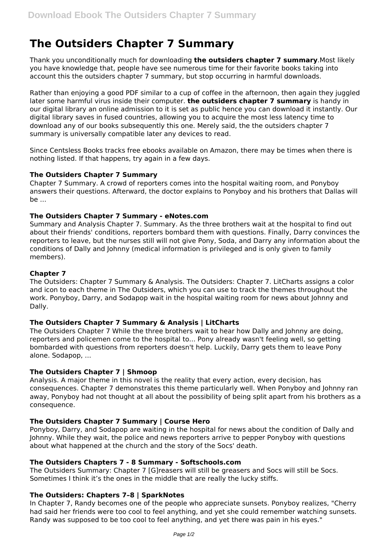# **The Outsiders Chapter 7 Summary**

Thank you unconditionally much for downloading **the outsiders chapter 7 summary**.Most likely you have knowledge that, people have see numerous time for their favorite books taking into account this the outsiders chapter 7 summary, but stop occurring in harmful downloads.

Rather than enjoying a good PDF similar to a cup of coffee in the afternoon, then again they juggled later some harmful virus inside their computer. **the outsiders chapter 7 summary** is handy in our digital library an online admission to it is set as public hence you can download it instantly. Our digital library saves in fused countries, allowing you to acquire the most less latency time to download any of our books subsequently this one. Merely said, the the outsiders chapter 7 summary is universally compatible later any devices to read.

Since Centsless Books tracks free ebooks available on Amazon, there may be times when there is nothing listed. If that happens, try again in a few days.

# **The Outsiders Chapter 7 Summary**

Chapter 7 Summary. A crowd of reporters comes into the hospital waiting room, and Ponyboy answers their questions. Afterward, the doctor explains to Ponyboy and his brothers that Dallas will  $he$ ...

## **The Outsiders Chapter 7 Summary - eNotes.com**

Summary and Analysis Chapter 7. Summary. As the three brothers wait at the hospital to find out about their friends' conditions, reporters bombard them with questions. Finally, Darry convinces the reporters to leave, but the nurses still will not give Pony, Soda, and Darry any information about the conditions of Dally and Johnny (medical information is privileged and is only given to family members).

# **Chapter 7**

The Outsiders: Chapter 7 Summary & Analysis. The Outsiders: Chapter 7. LitCharts assigns a color and icon to each theme in The Outsiders, which you can use to track the themes throughout the work. Ponyboy, Darry, and Sodapop wait in the hospital waiting room for news about Johnny and Dally.

## **The Outsiders Chapter 7 Summary & Analysis | LitCharts**

The Outsiders Chapter 7 While the three brothers wait to hear how Dally and Johnny are doing, reporters and policemen come to the hospital to... Pony already wasn't feeling well, so getting bombarded with questions from reporters doesn't help. Luckily, Darry gets them to leave Pony alone. Sodapop, ...

# **The Outsiders Chapter 7 | Shmoop**

Analysis. A major theme in this novel is the reality that every action, every decision, has consequences. Chapter 7 demonstrates this theme particularly well. When Ponyboy and Johnny ran away, Ponyboy had not thought at all about the possibility of being split apart from his brothers as a consequence.

# **The Outsiders Chapter 7 Summary | Course Hero**

Ponyboy, Darry, and Sodapop are waiting in the hospital for news about the condition of Dally and Johnny. While they wait, the police and news reporters arrive to pepper Ponyboy with questions about what happened at the church and the story of the Socs' death.

## **The Outsiders Chapters 7 - 8 Summary - Softschools.com**

The Outsiders Summary: Chapter 7 [G]reasers will still be greasers and Socs will still be Socs. Sometimes I think it's the ones in the middle that are really the lucky stiffs.

## **The Outsiders: Chapters 7–8 | SparkNotes**

In Chapter 7, Randy becomes one of the people who appreciate sunsets. Ponyboy realizes, "Cherry had said her friends were too cool to feel anything, and yet she could remember watching sunsets. Randy was supposed to be too cool to feel anything, and yet there was pain in his eyes."